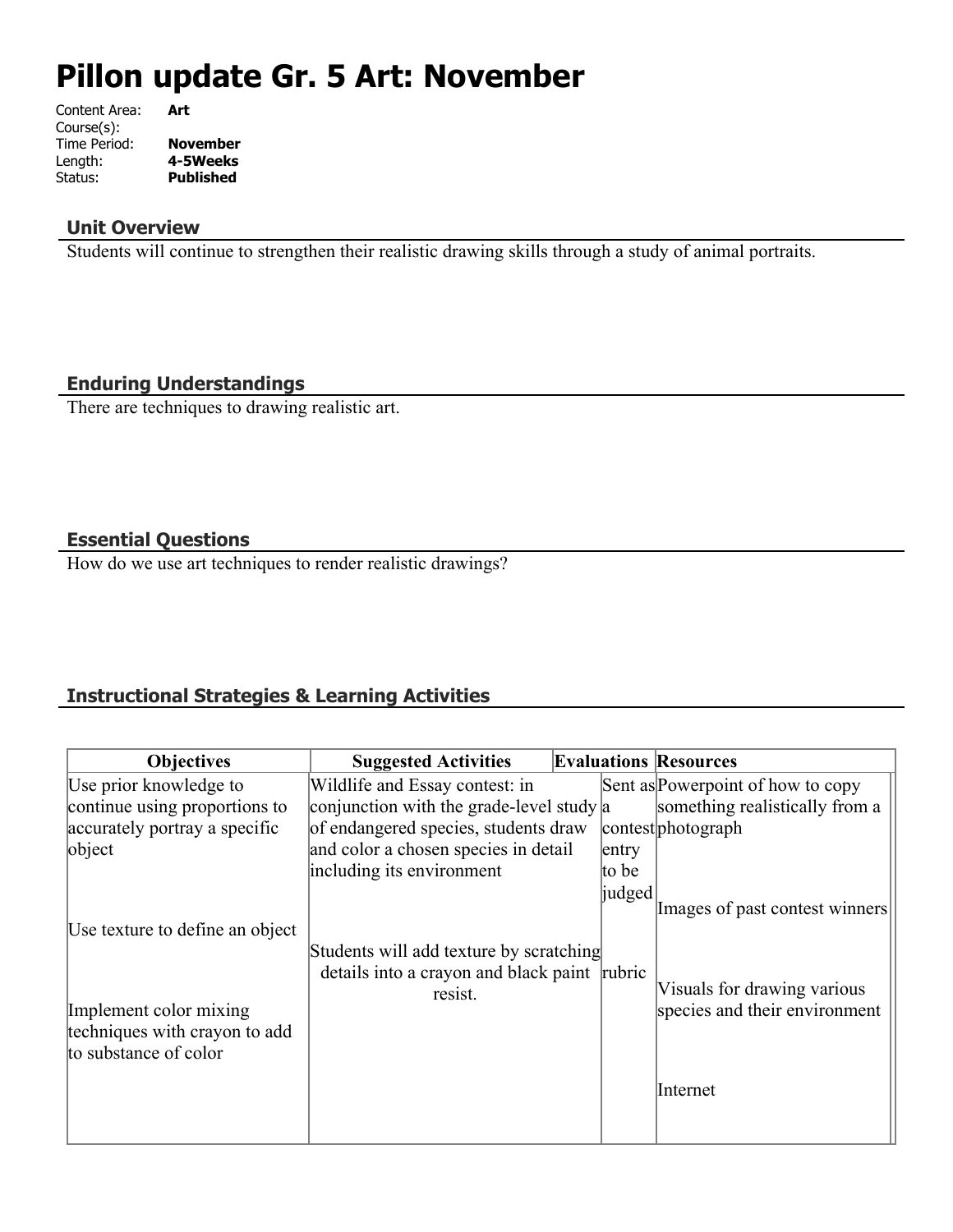# **Pillon update Gr. 5 Art: November**

| Content Area: | Art              |
|---------------|------------------|
| Course(s):    |                  |
| Time Period:  | <b>November</b>  |
| Length:       | 4-5Weeks         |
| Status:       | <b>Published</b> |
|               |                  |

## **Unit Overview**

Students will continue to strengthen their realistic drawing skills through a study of animal portraits.

## **Enduring Understandings**

There are techniques to drawing realistic art.

## **Essential Questions**

How do we use art techniques to render realistic drawings?

# **Instructional Strategies & Learning Activities**

| <b>Objectives</b>               | <b>Suggested Activities</b>                  |        | <b>Evaluations Resources</b>      |
|---------------------------------|----------------------------------------------|--------|-----------------------------------|
| Use prior knowledge to          | Wildlife and Essay contest: in               |        | Sent as Powerpoint of how to copy |
| continue using proportions to   | conjunction with the grade-level study $ a $ |        | something realistically from a    |
| accurately portray a specific   | of endangered species, students draw         |        | contest photograph                |
| object                          | and color a chosen species in detail         | entry  |                                   |
|                                 | including its environment                    | to be  |                                   |
|                                 |                                              | judged | Images of past contest winners    |
| Use texture to define an object |                                              |        |                                   |
|                                 | Students will add texture by scratching      |        |                                   |
|                                 | details into a crayon and black paint rubric |        | Visuals for drawing various       |
| Implement color mixing          | resist.                                      |        | species and their environment     |
| techniques with crayon to add   |                                              |        |                                   |
| to substance of color           |                                              |        |                                   |
|                                 |                                              |        | Internet                          |
|                                 |                                              |        |                                   |
|                                 |                                              |        |                                   |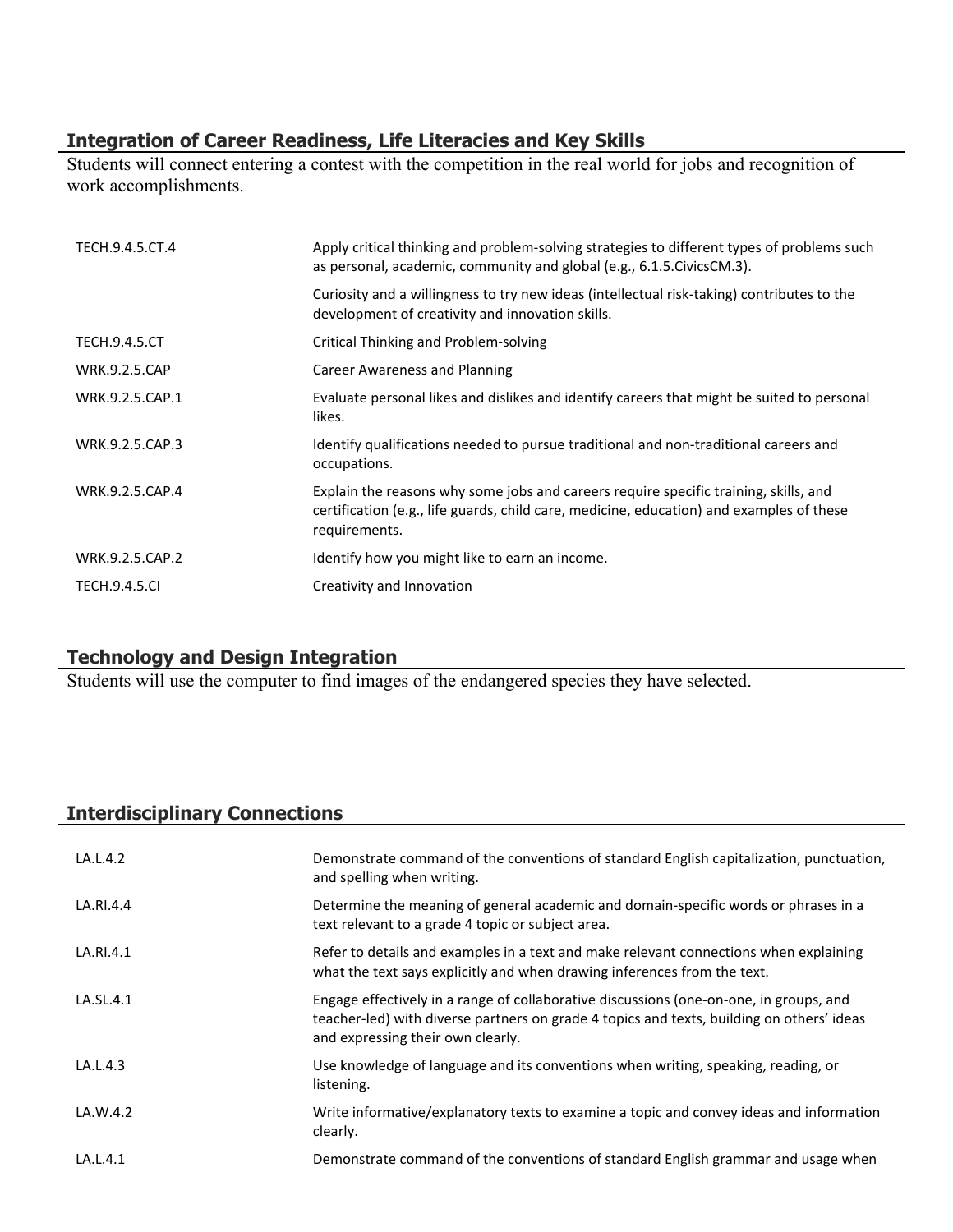## **Integration of Career Readiness, Life Literacies and Key Skills**

Students will connect entering a contest with the competition in the real world for jobs and recognition of work accomplishments.

| TECH.9.4.5.CT.4      | Apply critical thinking and problem-solving strategies to different types of problems such<br>as personal, academic, community and global (e.g., 6.1.5. Civics CM.3).                             |
|----------------------|---------------------------------------------------------------------------------------------------------------------------------------------------------------------------------------------------|
|                      | Curiosity and a willingness to try new ideas (intellectual risk-taking) contributes to the<br>development of creativity and innovation skills.                                                    |
| <b>TECH.9.4.5.CT</b> | Critical Thinking and Problem-solving                                                                                                                                                             |
| <b>WRK.9.2.5.CAP</b> | Career Awareness and Planning                                                                                                                                                                     |
| WRK.9.2.5.CAP.1      | Evaluate personal likes and dislikes and identify careers that might be suited to personal<br>likes.                                                                                              |
| WRK.9.2.5.CAP.3      | Identify qualifications needed to pursue traditional and non-traditional careers and<br>occupations.                                                                                              |
| WRK.9.2.5.CAP.4      | Explain the reasons why some jobs and careers require specific training, skills, and<br>certification (e.g., life guards, child care, medicine, education) and examples of these<br>requirements. |
| WRK.9.2.5.CAP.2      | Identify how you might like to earn an income.                                                                                                                                                    |
| <b>TECH.9.4.5.CI</b> | Creativity and Innovation                                                                                                                                                                         |

## **Technology and Design Integration**

Students will use the computer to find images of the endangered species they have selected.

## **Interdisciplinary Connections**

| LA.L.4.2  | Demonstrate command of the conventions of standard English capitalization, punctuation,<br>and spelling when writing.                                                                                                    |
|-----------|--------------------------------------------------------------------------------------------------------------------------------------------------------------------------------------------------------------------------|
| LA.RI.4.4 | Determine the meaning of general academic and domain-specific words or phrases in a<br>text relevant to a grade 4 topic or subject area.                                                                                 |
| LA.RI.4.1 | Refer to details and examples in a text and make relevant connections when explaining<br>what the text says explicitly and when drawing inferences from the text.                                                        |
| LA.SL.4.1 | Engage effectively in a range of collaborative discussions (one-on-one, in groups, and<br>teacher-led) with diverse partners on grade 4 topics and texts, building on others' ideas<br>and expressing their own clearly. |
| LA.L.4.3  | Use knowledge of language and its conventions when writing, speaking, reading, or<br>listening.                                                                                                                          |
| LA.W.4.2  | Write informative/explanatory texts to examine a topic and convey ideas and information<br>clearly.                                                                                                                      |
| LA.L.4.1  | Demonstrate command of the conventions of standard English grammar and usage when                                                                                                                                        |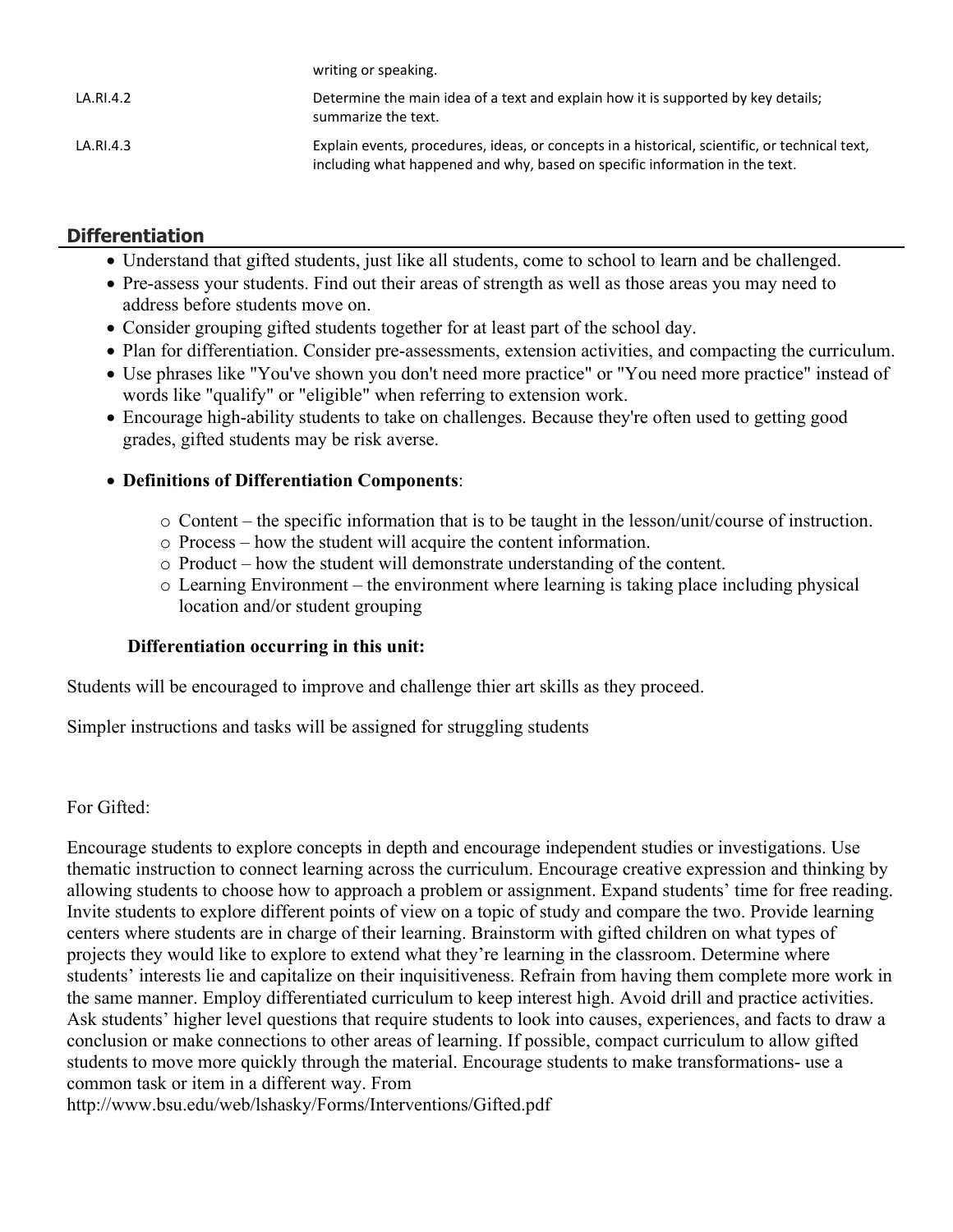|           | WITCHER OF SPEAKING.                                                                                                                                                          |
|-----------|-------------------------------------------------------------------------------------------------------------------------------------------------------------------------------|
| LA.RI.4.2 | Determine the main idea of a text and explain how it is supported by key details;<br>summarize the text.                                                                      |
| LA.RI.4.3 | Explain events, procedures, ideas, or concepts in a historical, scientific, or technical text,<br>including what happened and why, based on specific information in the text. |

## **Differentiation**

- Understand that gifted students, just like all students, come to school to learn and be challenged.
- Pre-assess your students. Find out their areas of strength as well as those areas you may need to address before students move on.
- Consider grouping gifted students together for at least part of the school day.

writing or speaking.

- Plan for differentiation. Consider pre-assessments, extension activities, and compacting the curriculum.
- Use phrases like "You've shown you don't need more practice" or "You need more practice" instead of words like "qualify" or "eligible" when referring to extension work.
- Encourage high-ability students to take on challenges. Because they're often used to getting good grades, gifted students may be risk averse.

#### **Definitions of Differentiation Components**:

- o Content the specific information that is to be taught in the lesson/unit/course of instruction.
- o Process how the student will acquire the content information.
- o Product how the student will demonstrate understanding of the content.
- o Learning Environment the environment where learning is taking place including physical location and/or student grouping

#### **Differentiation occurring in this unit:**

Students will be encouraged to improve and challenge thier art skills as they proceed.

Simpler instructions and tasks will be assigned for struggling students

#### For Gifted:

Encourage students to explore concepts in depth and encourage independent studies or investigations. Use thematic instruction to connect learning across the curriculum. Encourage creative expression and thinking by allowing students to choose how to approach a problem or assignment. Expand students' time for free reading. Invite students to explore different points of view on a topic of study and compare the two. Provide learning centers where students are in charge of their learning. Brainstorm with gifted children on what types of projects they would like to explore to extend what they're learning in the classroom. Determine where students' interests lie and capitalize on their inquisitiveness. Refrain from having them complete more work in the same manner. Employ differentiated curriculum to keep interest high. Avoid drill and practice activities. Ask students' higher level questions that require students to look into causes, experiences, and facts to draw a conclusion or make connections to other areas of learning. If possible, compact curriculum to allow gifted students to move more quickly through the material. Encourage students to make transformations- use a common task or item in a different way. From

http://www.bsu.edu/web/lshasky/Forms/Interventions/Gifted.pdf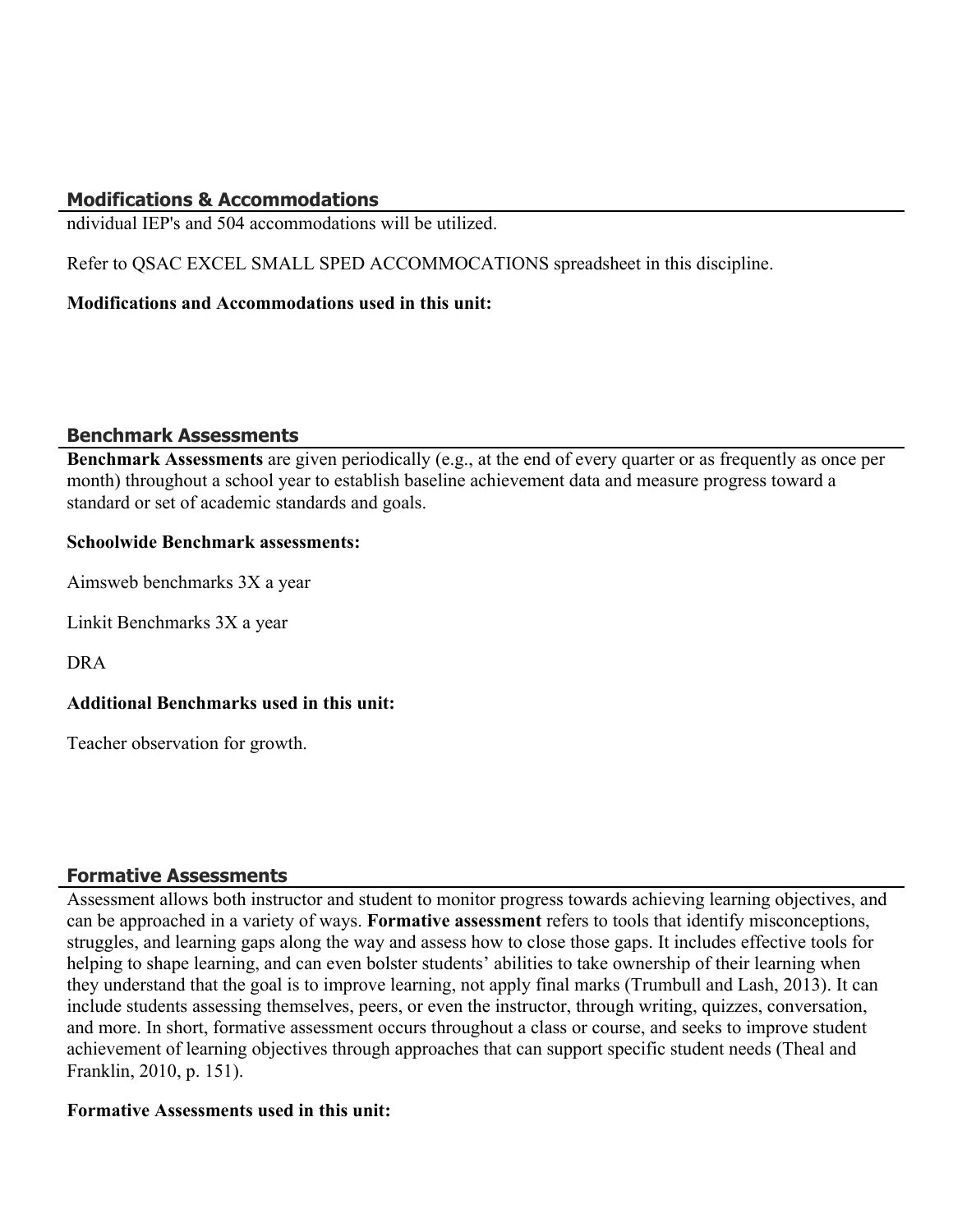## **Modifications & Accommodations**

ndividual IEP's and 504 accommodations will be utilized.

Refer to QSAC EXCEL SMALL SPED ACCOMMOCATIONS spreadsheet in this discipline.

#### **Modifications and Accommodations used in this unit:**

#### **Benchmark Assessments**

**Benchmark Assessments** are given periodically (e.g., at the end of every quarter or as frequently as once per month) throughout a school year to establish baseline achievement data and measure progress toward a standard or set of academic standards and goals.

#### **Schoolwide Benchmark assessments:**

Aimsweb benchmarks 3X a year

Linkit Benchmarks 3X a year

DRA

### **Additional Benchmarks used in this unit:**

Teacher observation for growth.

### **Formative Assessments**

Assessment allows both instructor and student to monitor progress towards achieving learning objectives, and can be approached in a variety of ways. **Formative assessment** refers to tools that identify misconceptions, struggles, and learning gaps along the way and assess how to close those gaps. It includes effective tools for helping to shape learning, and can even bolster students' abilities to take ownership of their learning when they understand that the goal is to improve learning, not apply final marks (Trumbull and Lash, 2013). It can include students assessing themselves, peers, or even the instructor, through writing, quizzes, conversation, and more. In short, formative assessment occurs throughout a class or course, and seeks to improve student achievement of learning objectives through approaches that can support specific student needs (Theal and Franklin, 2010, p. 151).

#### **Formative Assessments used in this unit:**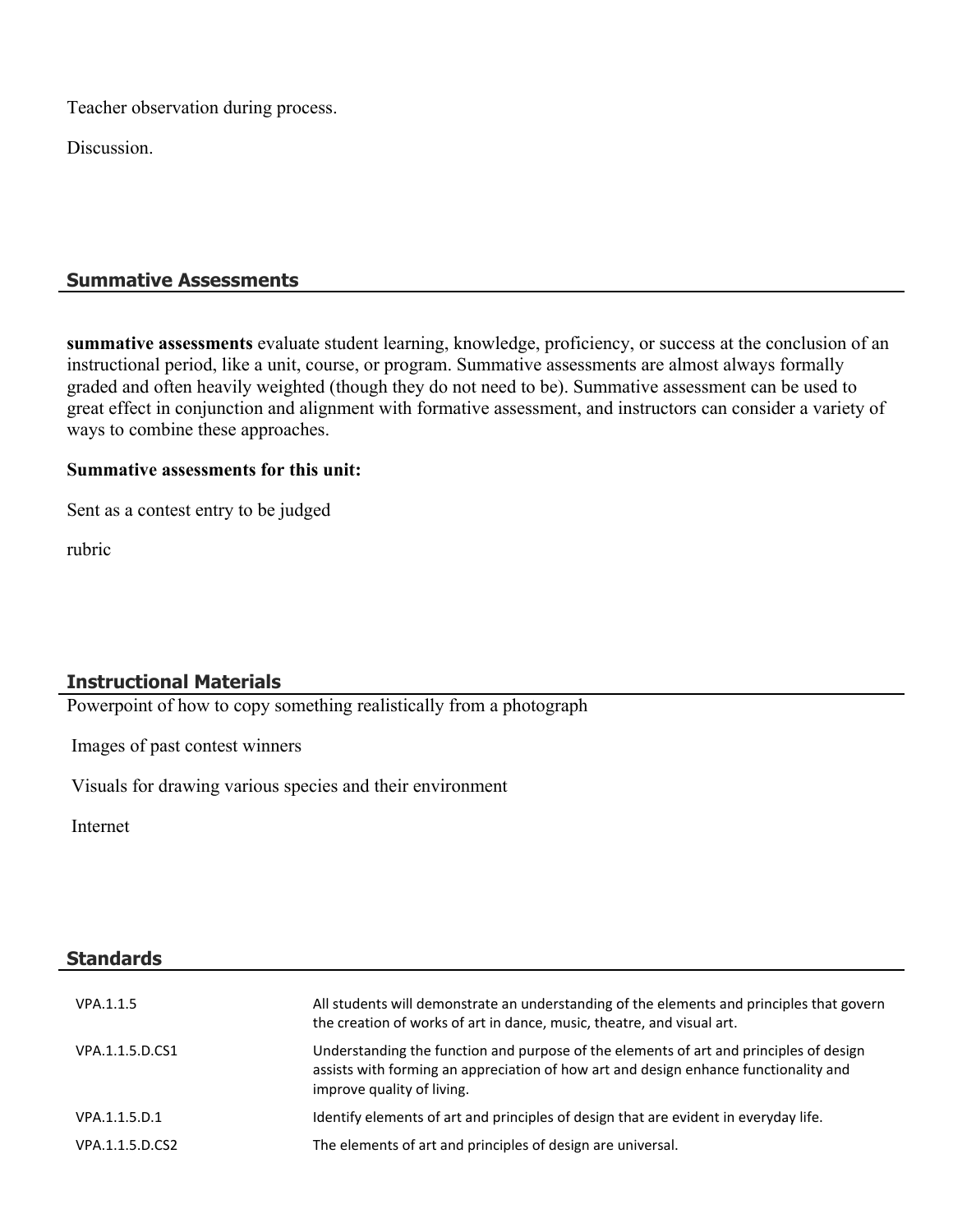Teacher observation during process.

Discussion.

## **Summative Assessments**

**summative assessments** evaluate student learning, knowledge, proficiency, or success at the conclusion of an instructional period, like a unit, course, or program. Summative assessments are almost always formally graded and often heavily weighted (though they do not need to be). Summative assessment can be used to great effect in conjunction and alignment with formative assessment, and instructors can consider a variety of ways to combine these approaches.

#### **Summative assessments for this unit:**

Sent as a contest entry to be judged

rubric

# **Instructional Materials**

Powerpoint of how to copy something realistically from a photograph

Images of past contest winners

Visuals for drawing various species and their environment

Internet

| <b>Standards</b> |                                                                                                                                                                                                              |
|------------------|--------------------------------------------------------------------------------------------------------------------------------------------------------------------------------------------------------------|
| VPA.1.1.5        | All students will demonstrate an understanding of the elements and principles that govern<br>the creation of works of art in dance, music, theatre, and visual art.                                          |
| VPA.1.1.5.D.CS1  | Understanding the function and purpose of the elements of art and principles of design<br>assists with forming an appreciation of how art and design enhance functionality and<br>improve quality of living. |
| VPA.1.1.5.D.1    | Identify elements of art and principles of design that are evident in everyday life.                                                                                                                         |
| VPA.1.1.5.D.CS2  | The elements of art and principles of design are universal.                                                                                                                                                  |